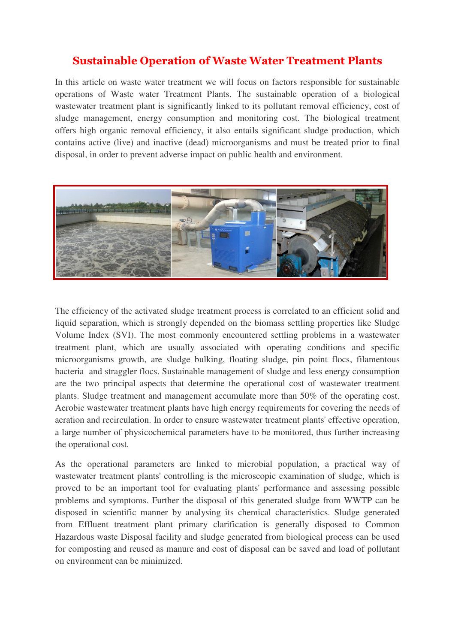## **Sustainable Operation of Waste Water Treatment Plants**

In this article on waste water treatment we will focus on factors responsible for sustainable operations of Waste water Treatment Plants. The sustainable operation of a biological wastewater treatment plant is significantly linked to its pollutant removal efficiency, cost of sludge management, energy consumption and monitoring cost. The biological treatment offers high organic removal efficiency, it also entails significant sludge production, which contains active (live) and inactive (dead) microorganisms and must be treated prior to final disposal, in order to prevent adverse impact on public health and environment.



The efficiency of the activated sludge treatment process is correlated to an efficient solid and liquid separation, which is strongly depended on the biomass settling properties like Sludge Volume Index (SVI). The most commonly encountered settling problems in a wastewater treatment plant, which are usually associated with operating conditions and specific microorganisms growth, are sludge bulking, floating sludge, pin point flocs, filamentous bacteria and straggler flocs. Sustainable management of sludge and less energy consumption are the two principal aspects that determine the operational cost of wastewater treatment plants. Sludge treatment and management accumulate more than 50% of the operating cost. Aerobic wastewater treatment plants have high energy requirements for covering the needs of aeration and recirculation. In order to ensure wastewater treatment plants' effective operation, a large number of physicochemical parameters have to be monitored, thus further increasing the operational cost.

As the operational parameters are linked to microbial population, a practical way of wastewater treatment plants' controlling is the microscopic examination of sludge, which is proved to be an important tool for evaluating plants' performance and assessing possible problems and symptoms. Further the disposal of this generated sludge from WWTP can be disposed in scientific manner by analysing its chemical characteristics. Sludge generated from Effluent treatment plant primary clarification is generally disposed to Common Hazardous waste Disposal facility and sludge generated from biological process can be used for composting and reused as manure and cost of disposal can be saved and load of pollutant on environment can be minimized.